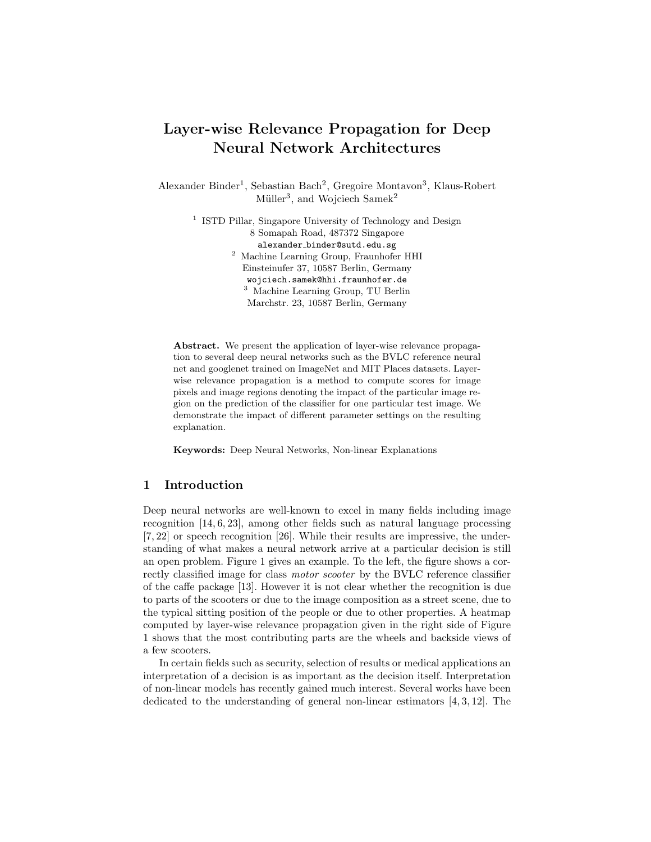# Layer-wise Relevance Propagation for Deep Neural Network Architectures

Alexander Binder<sup>1</sup>, Sebastian Bach<sup>2</sup>, Gregoire Montavon<sup>3</sup>, Klaus-Robert Müller<sup>3</sup>, and Wojciech Samek<sup>2</sup>

<sup>1</sup> ISTD Pillar, Singapore University of Technology and Design 8 Somapah Road, 487372 Singapore alexander binder@sutd.edu.sg  $^{\rm 2}$  Machine Learning Group, Fraunhofer HHI Einsteinufer 37, 10587 Berlin, Germany wojciech.samek@hhi.fraunhofer.de <sup>3</sup> Machine Learning Group, TU Berlin Marchstr. 23, 10587 Berlin, Germany

Abstract. We present the application of layer-wise relevance propagation to several deep neural networks such as the BVLC reference neural net and googlenet trained on ImageNet and MIT Places datasets. Layerwise relevance propagation is a method to compute scores for image pixels and image regions denoting the impact of the particular image region on the prediction of the classifier for one particular test image. We demonstrate the impact of different parameter settings on the resulting explanation.

Keywords: Deep Neural Networks, Non-linear Explanations

## 1 Introduction

Deep neural networks are well-known to excel in many fields including image recognition [14, 6, 23], among other fields such as natural language processing [7, 22] or speech recognition [26]. While their results are impressive, the understanding of what makes a neural network arrive at a particular decision is still an open problem. Figure 1 gives an example. To the left, the figure shows a correctly classified image for class motor scooter by the BVLC reference classifier of the caffe package [13]. However it is not clear whether the recognition is due to parts of the scooters or due to the image composition as a street scene, due to the typical sitting position of the people or due to other properties. A heatmap computed by layer-wise relevance propagation given in the right side of Figure 1 shows that the most contributing parts are the wheels and backside views of a few scooters.

In certain fields such as security, selection of results or medical applications an interpretation of a decision is as important as the decision itself. Interpretation of non-linear models has recently gained much interest. Several works have been dedicated to the understanding of general non-linear estimators  $[4, 3, 12]$ . The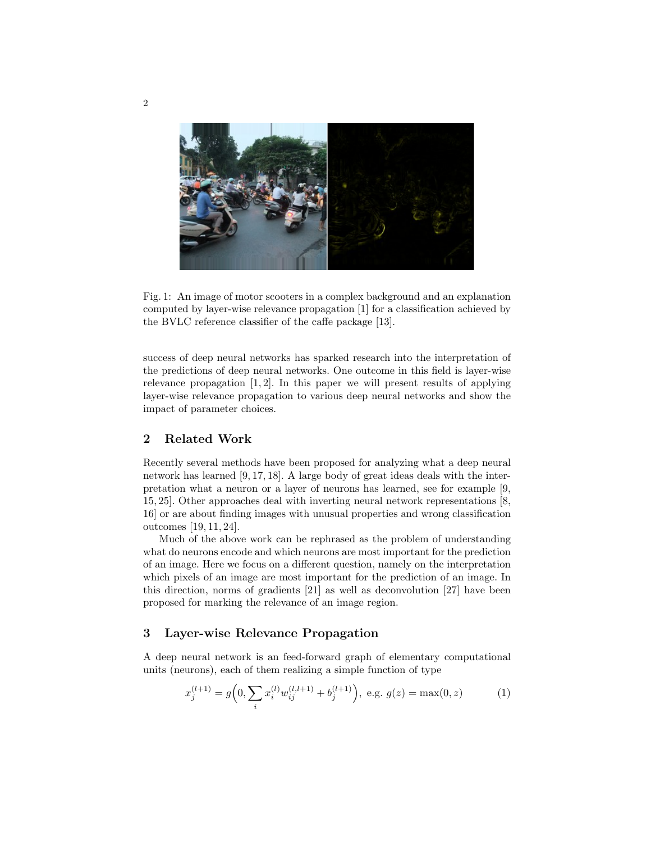

Fig. 1: An image of motor scooters in a complex background and an explanation computed by layer-wise relevance propagation [1] for a classification achieved by the BVLC reference classifier of the caffe package [13].

success of deep neural networks has sparked research into the interpretation of the predictions of deep neural networks. One outcome in this field is layer-wise relevance propagation [1, 2]. In this paper we will present results of applying layer-wise relevance propagation to various deep neural networks and show the impact of parameter choices.

## 2 Related Work

Recently several methods have been proposed for analyzing what a deep neural network has learned [9, 17, 18]. A large body of great ideas deals with the interpretation what a neuron or a layer of neurons has learned, see for example [9, 15, 25]. Other approaches deal with inverting neural network representations [8, 16] or are about finding images with unusual properties and wrong classification outcomes [19, 11, 24].

Much of the above work can be rephrased as the problem of understanding what do neurons encode and which neurons are most important for the prediction of an image. Here we focus on a different question, namely on the interpretation which pixels of an image are most important for the prediction of an image. In this direction, norms of gradients [21] as well as deconvolution [27] have been proposed for marking the relevance of an image region.

## 3 Layer-wise Relevance Propagation

A deep neural network is an feed-forward graph of elementary computational units (neurons), each of them realizing a simple function of type

$$
x_j^{(l+1)} = g\Big(0, \sum_i x_i^{(l)} w_{ij}^{(l,l+1)} + b_j^{(l+1)}\Big), \text{ e.g. } g(z) = \max(0, z) \tag{1}
$$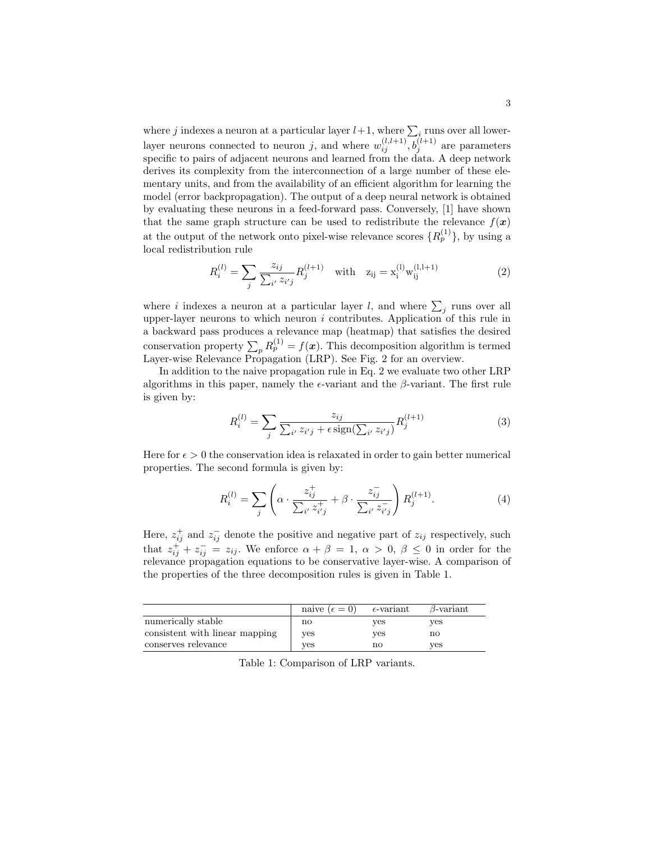where  $j$  indexes a neuron at a particular layer  $l+1$ , where  $\sum_i$  runs over all lowerlayer neurons connected to neuron j, and where  $w_{ij}^{(l,l+1)}, b_j^{(l+1)}$  are parameters specific to pairs of adjacent neurons and learned from the data. A deep network derives its complexity from the interconnection of a large number of these elementary units, and from the availability of an efficient algorithm for learning the model (error backpropagation). The output of a deep neural network is obtained by evaluating these neurons in a feed-forward pass. Conversely, [1] have shown that the same graph structure can be used to redistribute the relevance  $f(\boldsymbol{x})$ at the output of the network onto pixel-wise relevance scores  $\{R_p^{(1)}\}$ , by using a local redistribution rule

$$
R_i^{(l)} = \sum_j \frac{z_{ij}}{\sum_{i'} z_{i'j}} R_j^{(l+1)} \quad \text{with} \quad z_{ij} = x_i^{(l)} w_{ij}^{(l,l+1)} \tag{2}
$$

where i indexes a neuron at a particular layer l, and where  $\sum_j$  runs over all upper-layer neurons to which neuron  $i$  contributes. Application of this rule in a backward pass produces a relevance map (heatmap) that satisfies the desired conservation property  $\sum_{p} R_{p}^{(1)} = f(\boldsymbol{x})$ . This decomposition algorithm is termed Layer-wise Relevance Propagation (LRP). See Fig. 2 for an overview.

In addition to the naive propagation rule in Eq. 2 we evaluate two other LRP algorithms in this paper, namely the  $\epsilon$ -variant and the  $\beta$ -variant. The first rule is given by:

$$
R_i^{(l)} = \sum_j \frac{z_{ij}}{\sum_{i'} z_{i'j} + \epsilon \operatorname{sign}(\sum_{i'} z_{i'j})} R_j^{(l+1)}
$$
(3)

Here for  $\epsilon > 0$  the conservation idea is relaxated in order to gain better numerical properties. The second formula is given by:

$$
R_i^{(l)} = \sum_j \left( \alpha \cdot \frac{z_{ij}^+}{\sum_{i'} z_{i'j}^+} + \beta \cdot \frac{z_{ij}^-}{\sum_{i'} z_{i'j}^-} \right) R_j^{(l+1)}.
$$
 (4)

Here,  $z_{ij}^+$  and  $z_{ij}^-$  denote the positive and negative part of  $z_{ij}$  respectively, such that  $z_{ij}^+ + z_{ij}^- = z_{ij}$ . We enforce  $\alpha + \beta = 1$ ,  $\alpha > 0$ ,  $\beta \leq 0$  in order for the relevance propagation equations to be conservative layer-wise. A comparison of the properties of the three decomposition rules is given in Table 1.

|                                | naive $(\epsilon = 0)$ | $\epsilon$ -variant | $\beta$ -variant |
|--------------------------------|------------------------|---------------------|------------------|
| numerically stable             | no                     | ves                 | ves              |
| consistent with linear mapping | ves                    | ves                 | no               |
| conserves relevance            | ves                    | no                  | ves              |

Table 1: Comparison of LRP variants.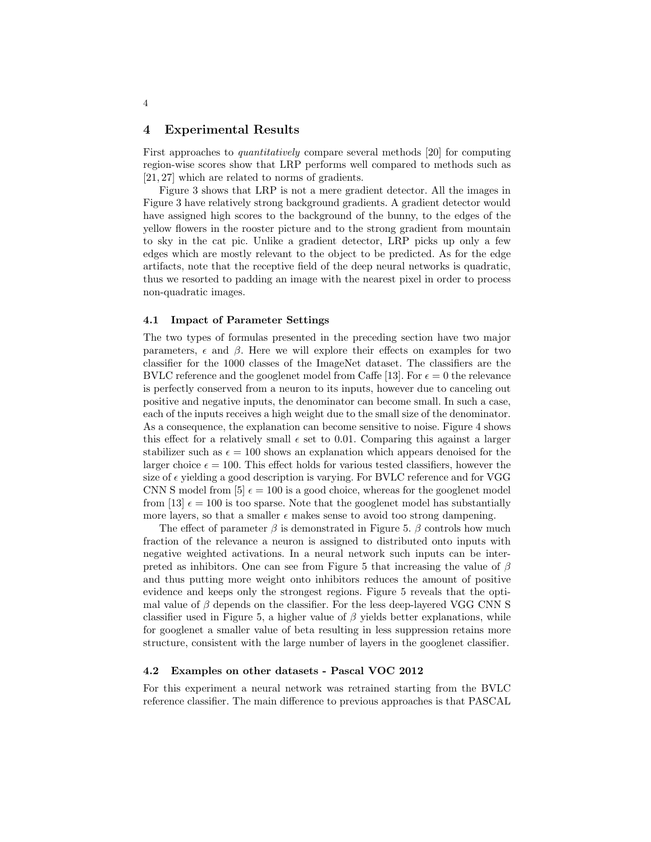#### 4 Experimental Results

First approaches to quantitatively compare several methods [20] for computing region-wise scores show that LRP performs well compared to methods such as [21, 27] which are related to norms of gradients.

Figure 3 shows that LRP is not a mere gradient detector. All the images in Figure 3 have relatively strong background gradients. A gradient detector would have assigned high scores to the background of the bunny, to the edges of the yellow flowers in the rooster picture and to the strong gradient from mountain to sky in the cat pic. Unlike a gradient detector, LRP picks up only a few edges which are mostly relevant to the object to be predicted. As for the edge artifacts, note that the receptive field of the deep neural networks is quadratic, thus we resorted to padding an image with the nearest pixel in order to process non-quadratic images.

#### 4.1 Impact of Parameter Settings

The two types of formulas presented in the preceding section have two major parameters,  $\epsilon$  and  $\beta$ . Here we will explore their effects on examples for two classifier for the 1000 classes of the ImageNet dataset. The classifiers are the BVLC reference and the googlenet model from Caffe [13]. For  $\epsilon = 0$  the relevance is perfectly conserved from a neuron to its inputs, however due to canceling out positive and negative inputs, the denominator can become small. In such a case, each of the inputs receives a high weight due to the small size of the denominator. As a consequence, the explanation can become sensitive to noise. Figure 4 shows this effect for a relatively small  $\epsilon$  set to 0.01. Comparing this against a larger stabilizer such as  $\epsilon = 100$  shows an explanation which appears denoised for the larger choice  $\epsilon = 100$ . This effect holds for various tested classifiers, however the size of  $\epsilon$  yielding a good description is varying. For BVLC reference and for VGG CNN S model from [5]  $\epsilon = 100$  is a good choice, whereas for the googlenet model from [13]  $\epsilon = 100$  is too sparse. Note that the googlenet model has substantially more layers, so that a smaller  $\epsilon$  makes sense to avoid too strong dampening.

The effect of parameter  $\beta$  is demonstrated in Figure 5.  $\beta$  controls how much fraction of the relevance a neuron is assigned to distributed onto inputs with negative weighted activations. In a neural network such inputs can be interpreted as inhibitors. One can see from Figure 5 that increasing the value of  $\beta$ and thus putting more weight onto inhibitors reduces the amount of positive evidence and keeps only the strongest regions. Figure 5 reveals that the optimal value of  $\beta$  depends on the classifier. For the less deep-layered VGG CNN S classifier used in Figure 5, a higher value of  $\beta$  yields better explanations, while for googlenet a smaller value of beta resulting in less suppression retains more structure, consistent with the large number of layers in the googlenet classifier.

#### 4.2 Examples on other datasets - Pascal VOC 2012

For this experiment a neural network was retrained starting from the BVLC reference classifier. The main difference to previous approaches is that PASCAL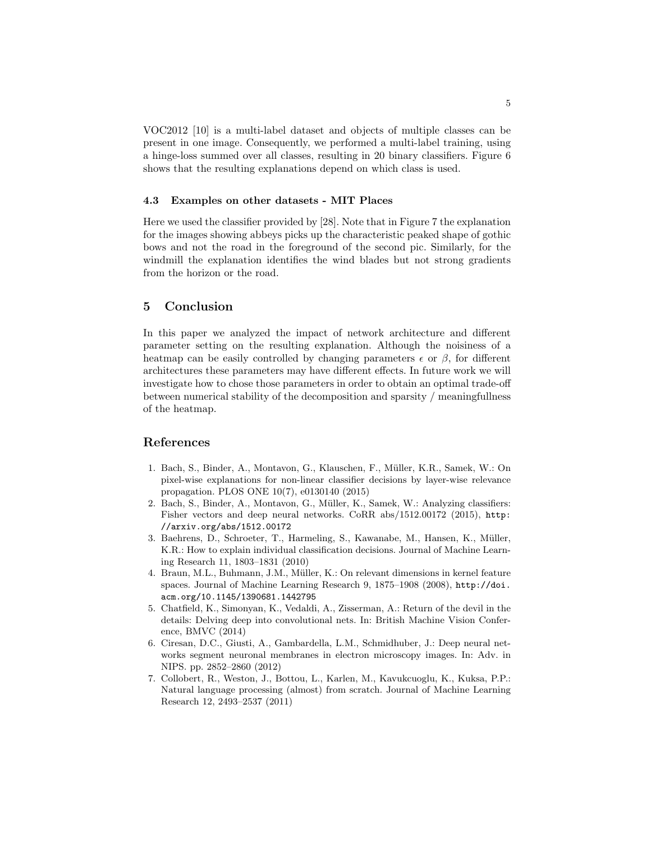VOC2012 [10] is a multi-label dataset and objects of multiple classes can be present in one image. Consequently, we performed a multi-label training, using a hinge-loss summed over all classes, resulting in 20 binary classifiers. Figure 6 shows that the resulting explanations depend on which class is used.

#### 4.3 Examples on other datasets - MIT Places

Here we used the classifier provided by [28]. Note that in Figure 7 the explanation for the images showing abbeys picks up the characteristic peaked shape of gothic bows and not the road in the foreground of the second pic. Similarly, for the windmill the explanation identifies the wind blades but not strong gradients from the horizon or the road.

## 5 Conclusion

In this paper we analyzed the impact of network architecture and different parameter setting on the resulting explanation. Although the noisiness of a heatmap can be easily controlled by changing parameters  $\epsilon$  or  $\beta$ , for different architectures these parameters may have different effects. In future work we will investigate how to chose those parameters in order to obtain an optimal trade-off between numerical stability of the decomposition and sparsity / meaningfullness of the heatmap.

### References

- 1. Bach, S., Binder, A., Montavon, G., Klauschen, F., M¨uller, K.R., Samek, W.: On pixel-wise explanations for non-linear classifier decisions by layer-wise relevance propagation. PLOS ONE 10(7), e0130140 (2015)
- 2. Bach, S., Binder, A., Montavon, G., Müller, K., Samek, W.: Analyzing classifiers: Fisher vectors and deep neural networks. CoRR abs/1512.00172 (2015), http: //arxiv.org/abs/1512.00172
- 3. Baehrens, D., Schroeter, T., Harmeling, S., Kawanabe, M., Hansen, K., M¨uller, K.R.: How to explain individual classification decisions. Journal of Machine Learning Research 11, 1803–1831 (2010)
- 4. Braun, M.L., Buhmann, J.M., Müller, K.: On relevant dimensions in kernel feature spaces. Journal of Machine Learning Research 9, 1875–1908 (2008), http://doi. acm.org/10.1145/1390681.1442795
- 5. Chatfield, K., Simonyan, K., Vedaldi, A., Zisserman, A.: Return of the devil in the details: Delving deep into convolutional nets. In: British Machine Vision Conference, BMVC (2014)
- 6. Ciresan, D.C., Giusti, A., Gambardella, L.M., Schmidhuber, J.: Deep neural networks segment neuronal membranes in electron microscopy images. In: Adv. in NIPS. pp. 2852–2860 (2012)
- 7. Collobert, R., Weston, J., Bottou, L., Karlen, M., Kavukcuoglu, K., Kuksa, P.P.: Natural language processing (almost) from scratch. Journal of Machine Learning Research 12, 2493–2537 (2011)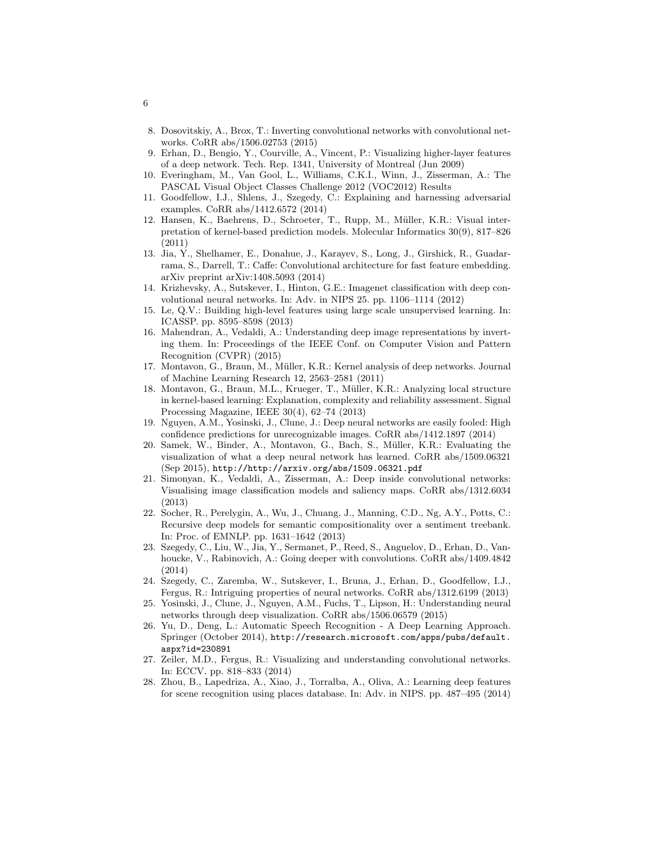- 8. Dosovitskiy, A., Brox, T.: Inverting convolutional networks with convolutional networks. CoRR abs/1506.02753 (2015)
- 9. Erhan, D., Bengio, Y., Courville, A., Vincent, P.: Visualizing higher-layer features of a deep network. Tech. Rep. 1341, University of Montreal (Jun 2009)
- 10. Everingham, M., Van Gool, L., Williams, C.K.I., Winn, J., Zisserman, A.: The PASCAL Visual Object Classes Challenge 2012 (VOC2012) Results
- 11. Goodfellow, I.J., Shlens, J., Szegedy, C.: Explaining and harnessing adversarial examples. CoRR abs/1412.6572 (2014)
- 12. Hansen, K., Baehrens, D., Schroeter, T., Rupp, M., Müller, K.R.: Visual interpretation of kernel-based prediction models. Molecular Informatics 30(9), 817–826 (2011)
- 13. Jia, Y., Shelhamer, E., Donahue, J., Karayev, S., Long, J., Girshick, R., Guadarrama, S., Darrell, T.: Caffe: Convolutional architecture for fast feature embedding. arXiv preprint arXiv:1408.5093 (2014)
- 14. Krizhevsky, A., Sutskever, I., Hinton, G.E.: Imagenet classification with deep convolutional neural networks. In: Adv. in NIPS 25. pp. 1106–1114 (2012)
- 15. Le, Q.V.: Building high-level features using large scale unsupervised learning. In: ICASSP. pp. 8595–8598 (2013)
- 16. Mahendran, A., Vedaldi, A.: Understanding deep image representations by inverting them. In: Proceedings of the IEEE Conf. on Computer Vision and Pattern Recognition (CVPR) (2015)
- 17. Montavon, G., Braun, M., M¨uller, K.R.: Kernel analysis of deep networks. Journal of Machine Learning Research 12, 2563–2581 (2011)
- 18. Montavon, G., Braun, M.L., Krueger, T., Müller, K.R.: Analyzing local structure in kernel-based learning: Explanation, complexity and reliability assessment. Signal Processing Magazine, IEEE 30(4), 62–74 (2013)
- 19. Nguyen, A.M., Yosinski, J., Clune, J.: Deep neural networks are easily fooled: High confidence predictions for unrecognizable images. CoRR abs/1412.1897 (2014)
- 20. Samek, W., Binder, A., Montavon, G., Bach, S., M¨uller, K.R.: Evaluating the visualization of what a deep neural network has learned. CoRR abs/1509.06321 (Sep 2015), http://http://arxiv.org/abs/1509.06321.pdf
- 21. Simonyan, K., Vedaldi, A., Zisserman, A.: Deep inside convolutional networks: Visualising image classification models and saliency maps. CoRR abs/1312.6034 (2013)
- 22. Socher, R., Perelygin, A., Wu, J., Chuang, J., Manning, C.D., Ng, A.Y., Potts, C.: Recursive deep models for semantic compositionality over a sentiment treebank. In: Proc. of EMNLP. pp. 1631–1642 (2013)
- 23. Szegedy, C., Liu, W., Jia, Y., Sermanet, P., Reed, S., Anguelov, D., Erhan, D., Vanhoucke, V., Rabinovich, A.: Going deeper with convolutions. CoRR abs/1409.4842 (2014)
- 24. Szegedy, C., Zaremba, W., Sutskever, I., Bruna, J., Erhan, D., Goodfellow, I.J., Fergus, R.: Intriguing properties of neural networks. CoRR abs/1312.6199 (2013)
- 25. Yosinski, J., Clune, J., Nguyen, A.M., Fuchs, T., Lipson, H.: Understanding neural networks through deep visualization. CoRR abs/1506.06579 (2015)
- 26. Yu, D., Deng, L.: Automatic Speech Recognition A Deep Learning Approach. Springer (October 2014), http://research.microsoft.com/apps/pubs/default. aspx?id=230891
- 27. Zeiler, M.D., Fergus, R.: Visualizing and understanding convolutional networks. In: ECCV. pp. 818–833 (2014)
- 28. Zhou, B., Lapedriza, A., Xiao, J., Torralba, A., Oliva, A.: Learning deep features for scene recognition using places database. In: Adv. in NIPS. pp. 487–495 (2014)

6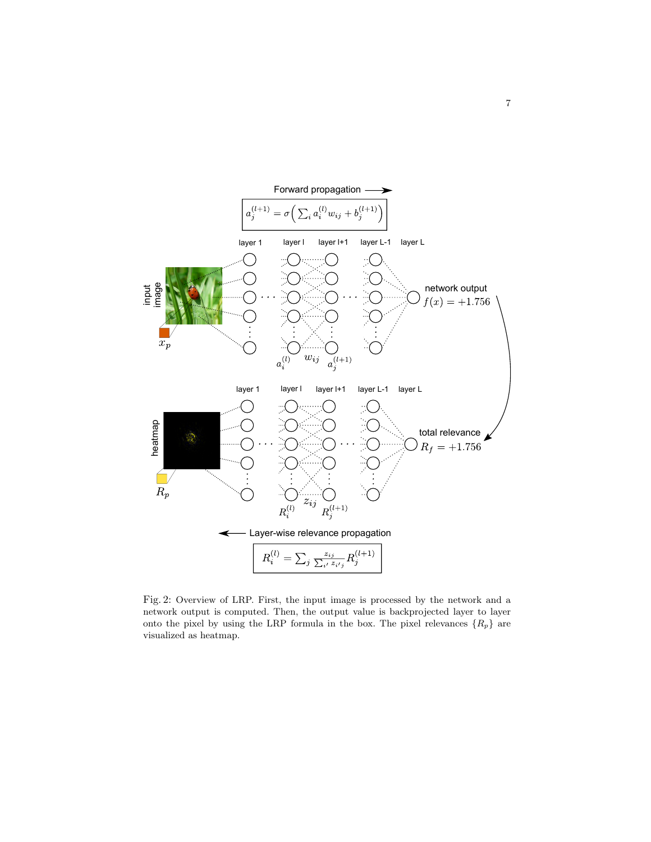

Fig. 2: Overview of LRP. First, the input image is processed by the network and a network output is computed. Then, the output value is backprojected layer to layer onto the pixel by using the LRP formula in the box. The pixel relevances  $\{R_p\}$  are visualized as heatmap.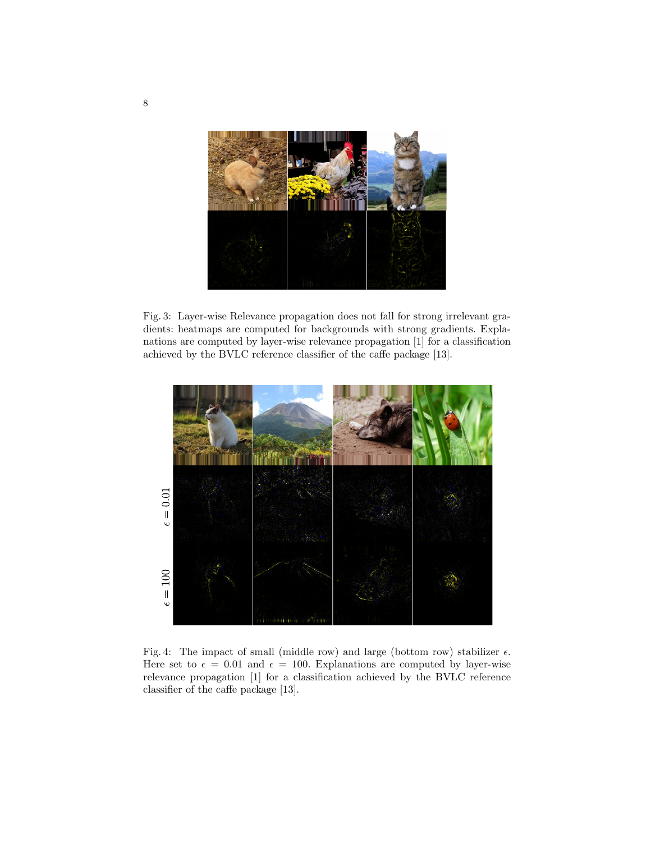

Fig. 3: Layer-wise Relevance propagation does not fall for strong irrelevant gradients: heatmaps are computed for backgrounds with strong gradients. Explanations are computed by layer-wise relevance propagation [1] for a classification achieved by the BVLC reference classifier of the caffe package [13].



Fig. 4: The impact of small (middle row) and large (bottom row) stabilizer  $\epsilon$ . Here set to  $\epsilon = 0.01$  and  $\epsilon = 100$ . Explanations are computed by layer-wise relevance propagation [1] for a classification achieved by the BVLC reference classifier of the caffe package [13].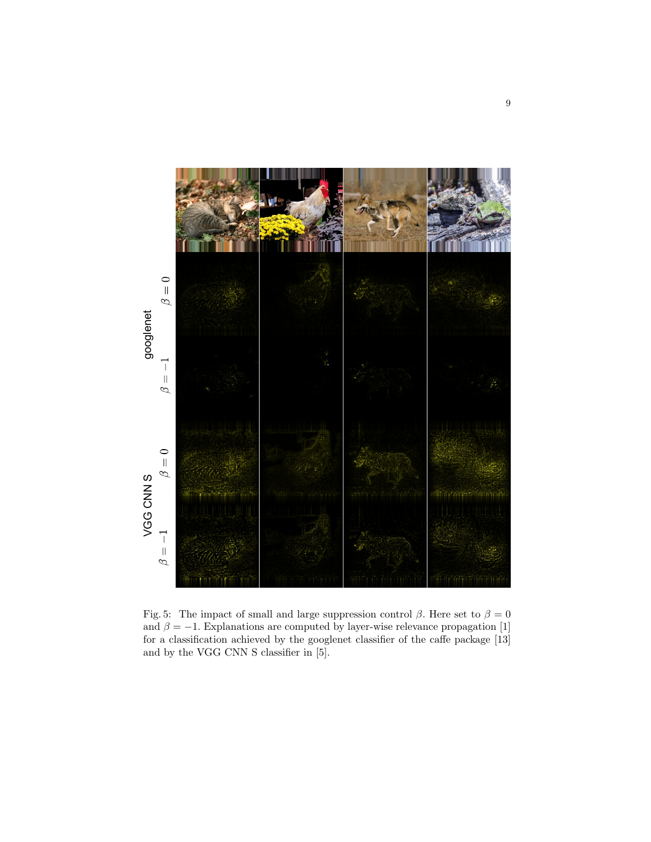

Fig. 5: The impact of small and large suppression control  $\beta$ . Here set to  $\beta = 0$ and  $\beta = -1$ . Explanations are computed by layer-wise relevance propagation [1] for a classification achieved by the googlenet classifier of the caffe package [13] and by the VGG CNN S classifier in [5].